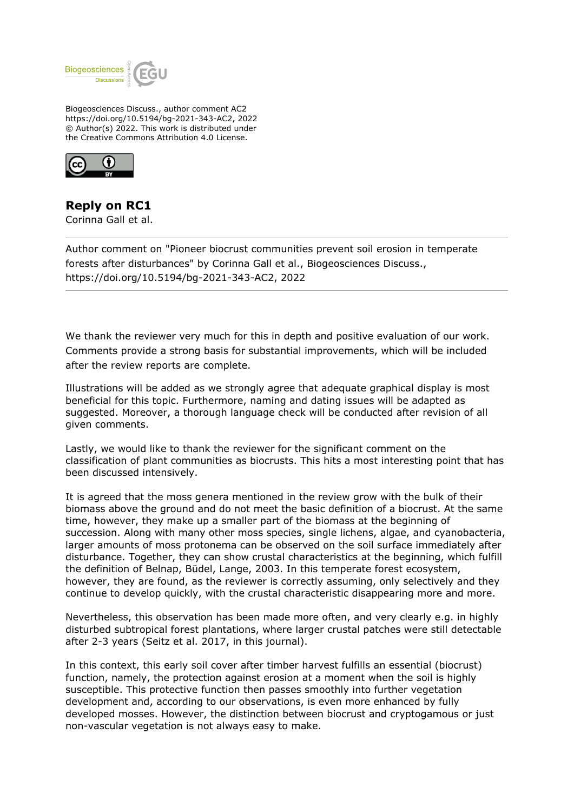

Biogeosciences Discuss., author comment AC2 https://doi.org/10.5194/bg-2021-343-AC2, 2022 © Author(s) 2022. This work is distributed under the Creative Commons Attribution 4.0 License.



## **Reply on RC1**

Corinna Gall et al.

Author comment on "Pioneer biocrust communities prevent soil erosion in temperate forests after disturbances" by Corinna Gall et al., Biogeosciences Discuss., https://doi.org/10.5194/bg-2021-343-AC2, 2022

We thank the reviewer very much for this in depth and positive evaluation of our work. Comments provide a strong basis for substantial improvements, which will be included after the review reports are complete.

Illustrations will be added as we strongly agree that adequate graphical display is most beneficial for this topic. Furthermore, naming and dating issues will be adapted as suggested. Moreover, a thorough language check will be conducted after revision of all given comments.

Lastly, we would like to thank the reviewer for the significant comment on the classification of plant communities as biocrusts. This hits a most interesting point that has been discussed intensively.

It is agreed that the moss genera mentioned in the review grow with the bulk of their biomass above the ground and do not meet the basic definition of a biocrust. At the same time, however, they make up a smaller part of the biomass at the beginning of succession. Along with many other moss species, single lichens, algae, and cyanobacteria, larger amounts of moss protonema can be observed on the soil surface immediately after disturbance. Together, they can show crustal characteristics at the beginning, which fulfill the definition of Belnap, Büdel, Lange, 2003. In this temperate forest ecosystem, however, they are found, as the reviewer is correctly assuming, only selectively and they continue to develop quickly, with the crustal characteristic disappearing more and more.

Nevertheless, this observation has been made more often, and very clearly e.g. in highly disturbed subtropical forest plantations, where larger crustal patches were still detectable after 2-3 years (Seitz et al. 2017, in this journal).

In this context, this early soil cover after timber harvest fulfills an essential (biocrust) function, namely, the protection against erosion at a moment when the soil is highly susceptible. This protective function then passes smoothly into further vegetation development and, according to our observations, is even more enhanced by fully developed mosses. However, the distinction between biocrust and cryptogamous or just non-vascular vegetation is not always easy to make.